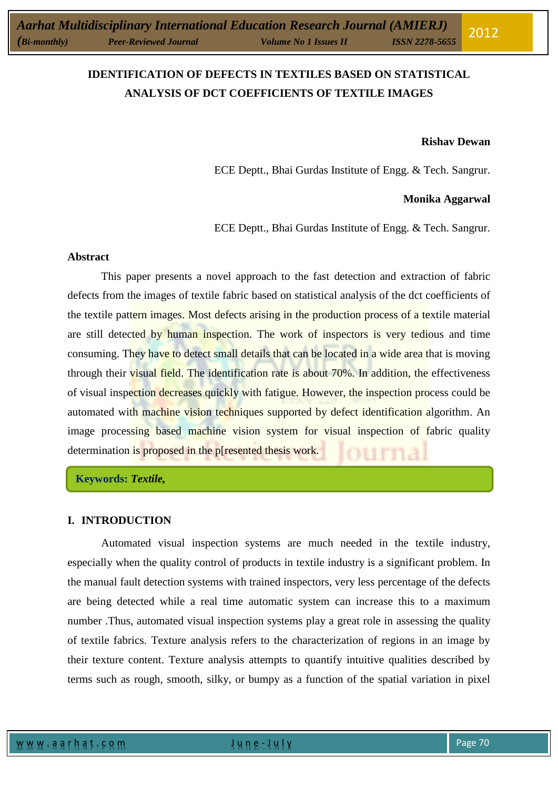# **IDENTIFICATION OF DEFECTS IN TEXTILES BASED ON STATISTICAL ANALYSIS OF DCT COEFFICIENTS OF TEXTILE IMAGES**

#### **Rishav Dewan**

ECE Deptt., Bhai Gurdas Institute of Engg. & Tech. Sangrur.

#### **Monika Aggarwal**

ECE Deptt., Bhai Gurdas Institute of Engg. & Tech. Sangrur.

#### **Abstract**

This paper presents a novel approach to the fast detection and extraction of fabric defects from the images of textile fabric based on statistical analysis of the dct coefficients of the textile pattern images. Most defects arising in the production process of a textile material are still detected by human inspection. The work of inspectors is very tedious and time consuming. They have to detect small details that can be located in a wide area that is moving through their visual field. The identification rate is about 70%. In addition, the effectiveness of visual inspection decreases quickly with fatigue. However, the inspection process could be automated with machine vision techniques supported by defect identification algorithm. An image processing based machine vision system for visual inspection of fabric quality determination is proposed in the p[resented thesis work.

**Keywords:** *Textile,*

#### **I. INTRODUCTION**

Automated visual inspection systems are much needed in the textile industry, especially when the quality control of products in textile industry is a significant problem. In the manual fault detection systems with trained inspectors, very less percentage of the defects are being detected while a real time automatic system can increase this to a maximum number .Thus, automated visual inspection systems play a great role in assessing the quality of textile fabrics. Texture analysis refers to the characterization of regions in an image by their texture content. Texture analysis attempts to quantify intuitive qualities described by terms such as rough, smooth, silky, or bumpy as a function of the spatial variation in pixel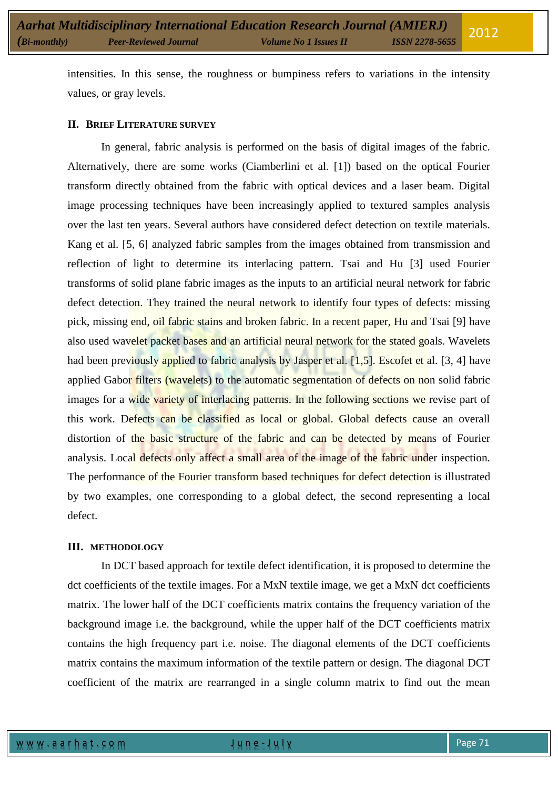intensities. In this sense, the roughness or bumpiness refers to variations in the intensity values, or gray levels.

# **II. BRIEF LITERATURE SURVEY**

In general, fabric analysis is performed on the basis of digital images of the fabric. Alternatively, there are some works (Ciamberlini et al. [1]) based on the optical Fourier transform directly obtained from the fabric with optical devices and a laser beam. Digital image processing techniques have been increasingly applied to textured samples analysis over the last ten years. Several authors have considered defect detection on textile materials. Kang et al. [5, 6] analyzed fabric samples from the images obtained from transmission and reflection of light to determine its interlacing pattern. Tsai and Hu [3] used Fourier transforms of solid plane fabric images as the inputs to an artificial neural network for fabric defect detection. They trained the neural network to identify four types of defects: missing pick, missing end, oil fabric stains and broken fabric. In a recent paper, Hu and Tsai [9] have also used wavelet packet bases and an artificial neural network for the stated goals. Wavelets had been previously applied to fabric analysis by Jasper et al. [1,5]. Escofet et al. [3, 4] have applied Gabor filters (wavelets) to the automatic segmentation of defects on non solid fabric images for a wide variety of interlacing patterns. In the following sections we revise part of this work. Defects can be classified as local or global. Global defects cause an overall distortion of the basic structure of the fabric and can be detected by means of Fourier analysis. Local defects only affect a small area of the image of the fabric under inspection. The performance of the Fourier transform based techniques for defect detection is illustrated by two examples, one corresponding to a global defect, the second representing a local defect.

#### **III. METHODOLOGY**

In DCT based approach for textile defect identification, it is proposed to determine the dct coefficients of the textile images. For a MxN textile image, we get a MxN dct coefficients matrix. The lower half of the DCT coefficients matrix contains the frequency variation of the background image i.e. the background, while the upper half of the DCT coefficients matrix contains the high frequency part i.e. noise. The diagonal elements of the DCT coefficients matrix contains the maximum information of the textile pattern or design. The diagonal DCT coefficient of the matrix are rearranged in a single column matrix to find out the mean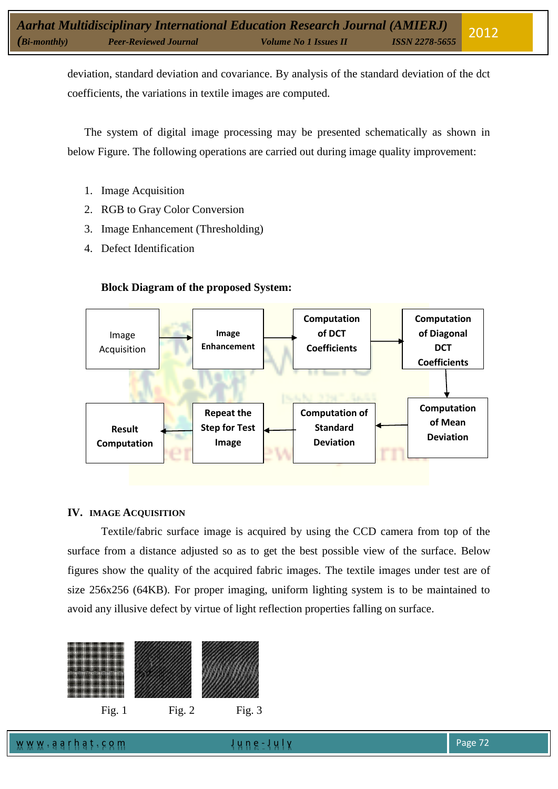deviation, standard deviation and covariance. By analysis of the standard deviation of the dct coefficients, the variations in textile images are computed.

The system of digital image processing may be presented schematically as shown in below Figure. The following operations are carried out during image quality improvement:

- 1. Image Acquisition
- 2. RGB to Gray Color Conversion
- 3. Image Enhancement (Thresholding)
- 4. Defect Identification



# **Block Diagram of the proposed System:**

# **IV. IMAGE ACQUISITION**

Textile/fabric surface image is acquired by using the CCD camera from top of the surface from a distance adjusted so as to get the best possible view of the surface. Below figures show the quality of the acquired fabric images. The textile images under test are of size 256x256 (64KB). For proper imaging, uniform lighting system is to be maintained to avoid any illusive defect by virtue of light reflection properties falling on surface.

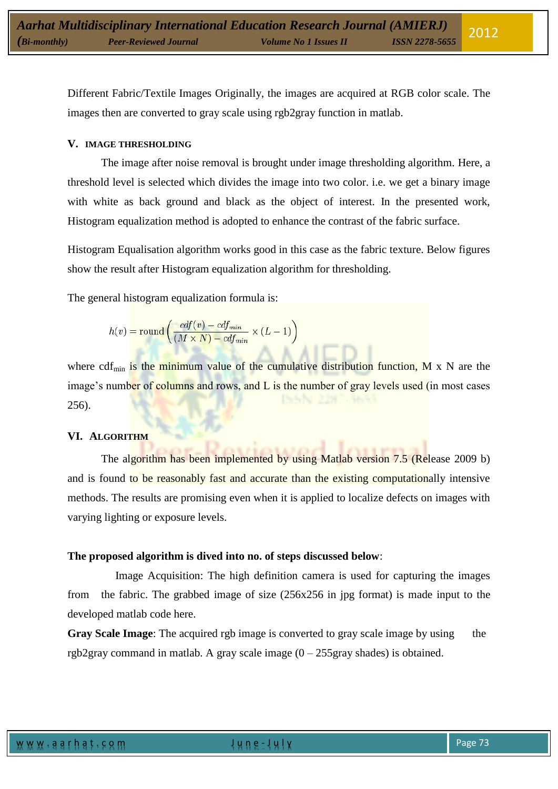Different Fabric/Textile Images Originally, the images are acquired at RGB color scale. The images then are converted to gray scale using rgb2gray function in matlab.

## **V. IMAGE THRESHOLDING**

The image after noise removal is brought under image thresholding algorithm. Here, a threshold level is selected which divides the image into two color. i.e. we get a binary image with white as back ground and black as the object of interest. In the presented work, Histogram equalization method is adopted to enhance the contrast of the fabric surface.

Histogram Equalisation algorithm works good in this case as the fabric texture. Below figures show the result after Histogram equalization algorithm for thresholding.

The general histogram equalization formula is:

$$
h(v) = \text{round}\left(\frac{cdf(v) - cdf_{min}}{(M \times N) - cdf_{min}} \times (L - 1)\right)
$$

where cdf<sub>min</sub> is the minimum value of the cumulative distribution function, M x N are the image's number of columns and rows, and L is the number of gray levels used (in most cases 256).

#### **VI. ALGORITHM**

The algorithm has been implemented by using Matlab version 7.5 (Release 2009 b) and is found to be reasonably fast and accurate than the existing computationally intensive methods. The results are promising even when it is applied to localize defects on images with varying lighting or exposure levels.

#### **The proposed algorithm is dived into no. of steps discussed below**:

 Image Acquisition: The high definition camera is used for capturing the images from the fabric. The grabbed image of size (256x256 in jpg format) is made input to the developed matlab code here.

**Gray Scale Image:** The acquired rgb image is converted to gray scale image by using the rgb2gray command in matlab. A gray scale image  $(0 - 255)$ gray shades) is obtained.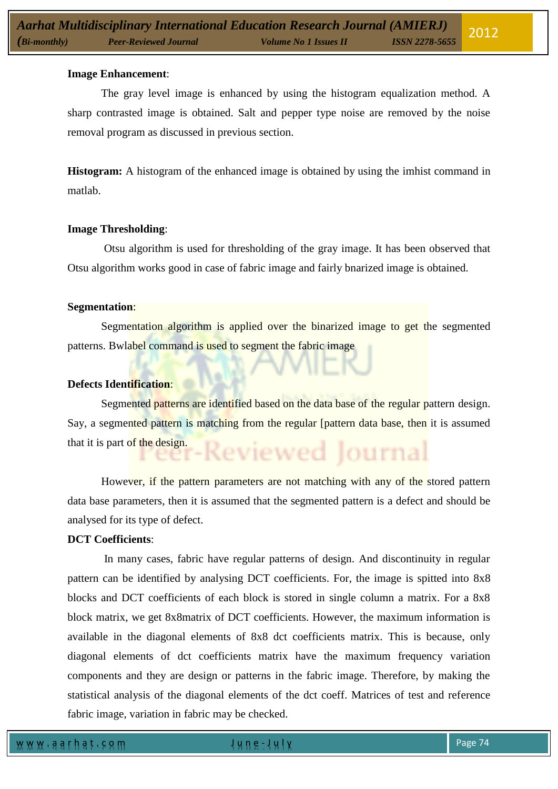#### **Image Enhancement**:

The gray level image is enhanced by using the histogram equalization method. A sharp contrasted image is obtained. Salt and pepper type noise are removed by the noise removal program as discussed in previous section.

**Histogram:** A histogram of the enhanced image is obtained by using the imhist command in matlab.

# **Image Thresholding**:

Otsu algorithm is used for thresholding of the gray image. It has been observed that Otsu algorithm works good in case of fabric image and fairly bnarized image is obtained.

#### **Segmentation**:

Segmentation algorithm is applied over the binarized image to get the segmented patterns. Bwlabel command is used to segment the fabric image

# **Defects Identification**:

Segmented patterns are identified based on the data base of the regular pattern design. Say, a segmented pattern is matching from the regular [pattern data base, then it is assumed that it is part of the design. eviewed lournal

However, if the pattern parameters are not matching with any of the stored pattern data base parameters, then it is assumed that the segmented pattern is a defect and should be analysed for its type of defect.

# **DCT Coefficients**:

In many cases, fabric have regular patterns of design. And discontinuity in regular pattern can be identified by analysing DCT coefficients. For, the image is spitted into 8x8 blocks and DCT coefficients of each block is stored in single column a matrix. For a 8x8 block matrix, we get 8x8matrix of DCT coefficients. However, the maximum information is available in the diagonal elements of 8x8 dct coefficients matrix. This is because, only diagonal elements of dct coefficients matrix have the maximum frequency variation components and they are design or patterns in the fabric image. Therefore, by making the statistical analysis of the diagonal elements of the dct coeff. Matrices of test and reference fabric image, variation in fabric may be checked.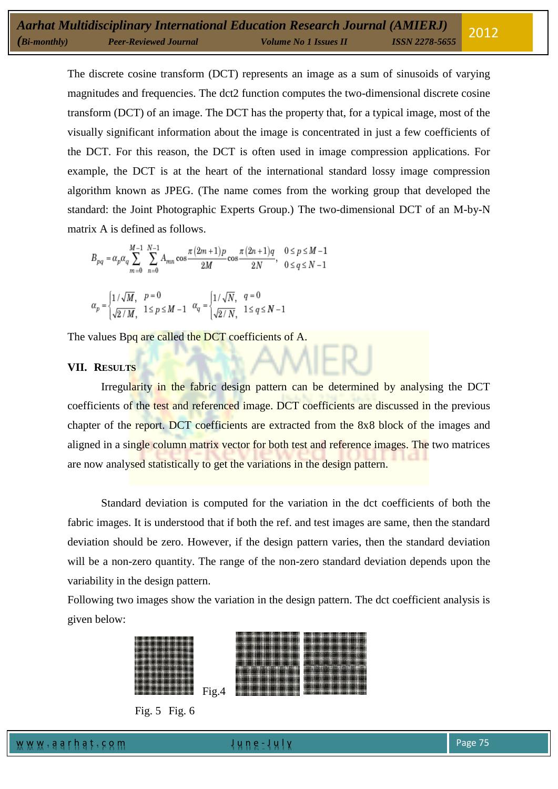The discrete cosine transform (DCT) represents an image as a sum of sinusoids of varying magnitudes and frequencies. The [dct2](http://www.mathworks.in/help/toolbox/images/ref/dct2.html) function computes the two-dimensional discrete cosine transform (DCT) of an image. The DCT has the property that, for a typical image, most of the visually significant information about the image is concentrated in just a few coefficients of the DCT. For this reason, the DCT is often used in image compression applications. For example, the DCT is at the heart of the international standard lossy image compression algorithm known as JPEG. (The name comes from the working group that developed the standard: the Joint Photographic Experts Group.) The two-dimensional DCT of an M-by-N matrix A is defined as follows.

$$
B_{pq} = \alpha_p \alpha_q \sum_{m=0}^{M-1} \sum_{n=0}^{N-1} A_{mn} \cos \frac{\pi (2m+1) p}{2M} \cos \frac{\pi (2n+1) q}{2N}, \quad 0 \leq p \leq M-1
$$

$$
\alpha_p=\begin{cases} 1/\sqrt{M}, & p=0\\ \sqrt{2/M}, & 1\leq p\leq M-1 \end{cases} \quad \alpha_q=\begin{cases} 1/\sqrt{N}, & q=0\\ \sqrt{2/N}, & 1\leq q\leq N-1 \end{cases}
$$

The values Bpq are called the DCT coefficients of A.

# **VII. RESULTS**

Irregularity in the fabric design pattern can be determined by analysing the DCT coefficients of the test and referenced image. DCT coefficients are discussed in the previous chapter of the report. DCT coefficients are extracted from the 8x8 block of the images and aligned in a single column matrix vector for both test and reference images. The two matrices are now analysed statistically to get the variations in the design pattern.

Standard deviation is computed for the variation in the dct coefficients of both the fabric images. It is understood that if both the ref. and test images are same, then the standard deviation should be zero. However, if the design pattern varies, then the standard deviation will be a non-zero quantity. The range of the non-zero standard deviation depends upon the variability in the design pattern.

Following two images show the variation in the design pattern. The dct coefficient analysis is given below:





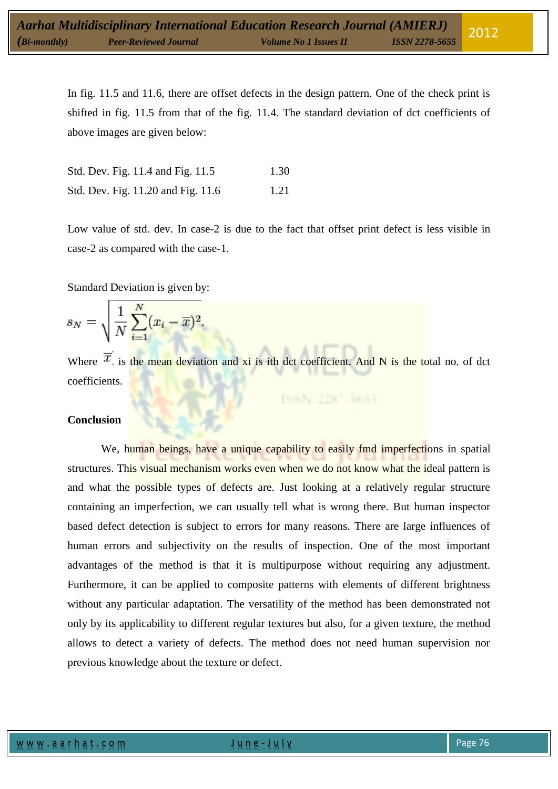In fig. 11.5 and 11.6, there are offset defects in the design pattern. One of the check print is shifted in fig. 11.5 from that of the fig. 11.4. The standard deviation of dct coefficients of above images are given below:

| Std. Dev. Fig. 11.4 and Fig. 11.5  | 1.30 |
|------------------------------------|------|
| Std. Dev. Fig. 11.20 and Fig. 11.6 | 1.21 |

Low value of std. dev. In case-2 is due to the fact that offset print defect is less visible in case-2 as compared with the case-1.

Standard Deviation is given by:

$$
s_N = \sqrt{\frac{1}{N} \sum_{i=1}^{N} (x_i - \overline{x})^2}.
$$

Where  $\overline{x}$  is the mean deviation and xi is ith dct coefficient. And N is the total no. of dct coefficients.

# **Conclusion**

We, human beings, have a unique capability to easily find imperfections in spatial structures. This visual mechanism works even when we do not know what the ideal pattern is and what the possible types of defects are. Just looking at a relatively regular structure containing an imperfection, we can usually tell what is wrong there. But human inspector based defect detection is subject to errors for many reasons. There are large influences of human errors and subjectivity on the results of inspection. One of the most important advantages of the method is that it is multipurpose without requiring any adjustment. Furthermore, it can be applied to composite patterns with elements of different brightness without any particular adaptation. The versatility of the method has been demonstrated not only by its applicability to different regular textures but also, for a given texture, the method allows to detect a variety of defects. The method does not need human supervision nor previous knowledge about the texture or defect.